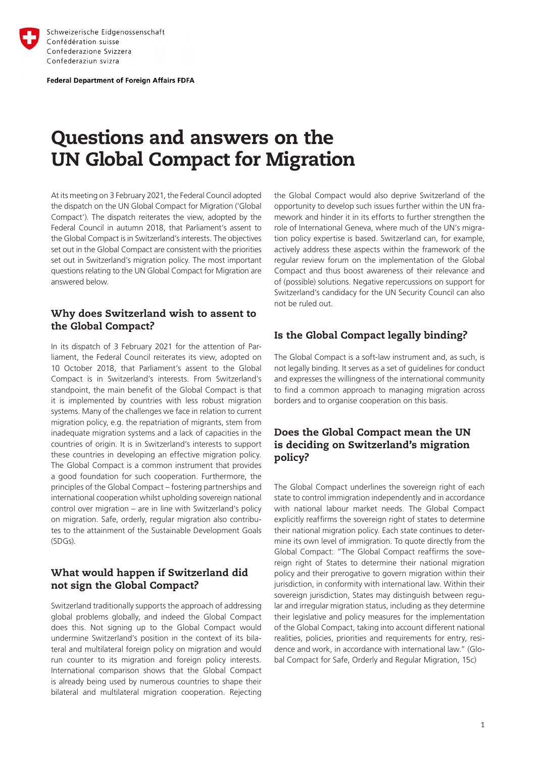

**Federal Department of Foreign Affairs FDFA** 

# Questions and answers on the UN Global Compact for Migration

At its meeting on 3 February 2021, the Federal Council adopted the dispatch on the UN Global Compact for Migration ('Global Compact'). The dispatch reiterates the view, adopted by the Federal Council in autumn 2018, that Parliament's assent to the Global Compact is in Switzerland's interests. The objectives set out in the Global Compact are consistent with the priorities set out in Switzerland's migration policy. The most important questions relating to the UN Global Compact for Migration are answered below.

#### Why does Switzerland wish to assent to the Global Compact?

In its dispatch of 3 February 2021 for the attention of Parliament, the Federal Council reiterates its view, adopted on 10 October 2018, that Parliament's assent to the Global Compact is in Switzerland's interests. From Switzerland's standpoint, the main benefit of the Global Compact is that it is implemented by countries with less robust migration systems. Many of the challenges we face in relation to current migration policy, e.g. the repatriation of migrants, stem from inadequate migration systems and a lack of capacities in the countries of origin. It is in Switzerland's interests to support these countries in developing an effective migration policy. The Global Compact is a common instrument that provides a good foundation for such cooperation. Furthermore, the principles of the Global Compact – fostering partnerships and international cooperation whilst upholding sovereign national control over migration – are in line with Switzerland's policy on migration. Safe, orderly, regular migration also contributes to the attainment of the Sustainable Development Goals (SDGs).

# What would happen if Switzerland did not sign the Global Compact?

Switzerland traditionally supports the approach of addressing global problems globally, and indeed the Global Compact does this. Not signing up to the Global Compact would undermine Switzerland's position in the context of its bilateral and multilateral foreign policy on migration and would run counter to its migration and foreign policy interests. International comparison shows that the Global Compact is already being used by numerous countries to shape their bilateral and multilateral migration cooperation. Rejecting the Global Compact would also deprive Switzerland of the opportunity to develop such issues further within the UN framework and hinder it in its efforts to further strengthen the role of International Geneva, where much of the UN's migration policy expertise is based. Switzerland can, for example, actively address these aspects within the framework of the regular review forum on the implementation of the Global Compact and thus boost awareness of their relevance and of (possible) solutions. Negative repercussions on support for Switzerland's candidacy for the UN Security Council can also not be ruled out.

# Is the Global Compact legally binding?

The Global Compact is a soft-law instrument and, as such, is not legally binding. It serves as a set of guidelines for conduct and expresses the willingness of the international community to find a common approach to managing migration across borders and to organise cooperation on this basis.

## Does the Global Compact mean the UN is deciding on Switzerland's migration policy?

The Global Compact underlines the sovereign right of each state to control immigration independently and in accordance with national labour market needs. The Global Compact explicitly reaffirms the sovereign right of states to determine their national migration policy. Each state continues to determine its own level of immigration. To quote directly from the Global Compact: "The Global Compact reaffirms the sovereign right of States to determine their national migration policy and their prerogative to govern migration within their jurisdiction, in conformity with international law. Within their sovereign jurisdiction, States may distinguish between regular and irregular migration status, including as they determine their legislative and policy measures for the implementation of the Global Compact, taking into account different national realities, policies, priorities and requirements for entry, residence and work, in accordance with international law." (Global Compact for Safe, Orderly and Regular Migration, 15c)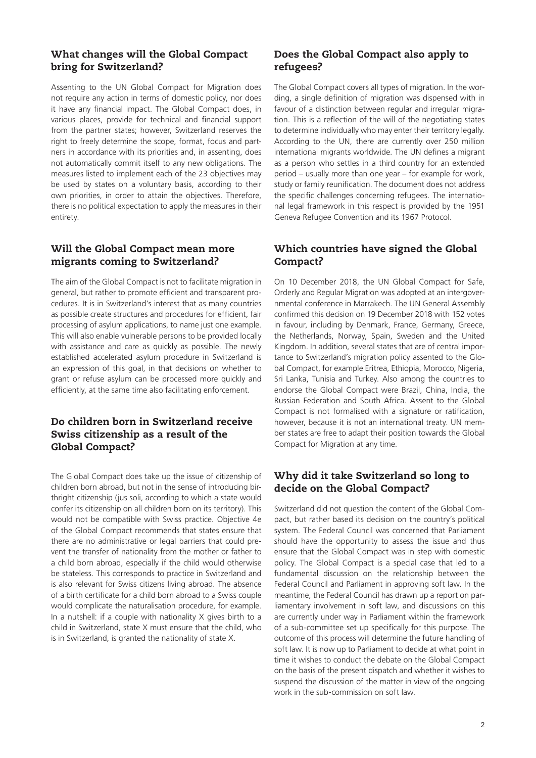#### What changes will the Global Compact bring for Switzerland?

Assenting to the UN Global Compact for Migration does not require any action in terms of domestic policy, nor does it have any financial impact. The Global Compact does, in various places, provide for technical and financial support from the partner states; however, Switzerland reserves the right to freely determine the scope, format, focus and partners in accordance with its priorities and, in assenting, does not automatically commit itself to any new obligations. The measures listed to implement each of the 23 objectives may be used by states on a voluntary basis, according to their own priorities, in order to attain the objectives. Therefore, there is no political expectation to apply the measures in their entirety.

#### Will the Global Compact mean more migrants coming to Switzerland?

The aim of the Global Compact is not to facilitate migration in general, but rather to promote efficient and transparent procedures. It is in Switzerland's interest that as many countries as possible create structures and procedures for efficient, fair processing of asylum applications, to name just one example. This will also enable vulnerable persons to be provided locally with assistance and care as quickly as possible. The newly established accelerated asylum procedure in Switzerland is an expression of this goal, in that decisions on whether to grant or refuse asylum can be processed more quickly and efficiently, at the same time also facilitating enforcement.

#### Do children born in Switzerland receive Swiss citizenship as a result of the Global Compact?

The Global Compact does take up the issue of citizenship of children born abroad, but not in the sense of introducing birthright citizenship (jus soli, according to which a state would confer its citizenship on all children born on its territory). This would not be compatible with Swiss practice. Objective 4e of the Global Compact recommends that states ensure that there are no administrative or legal barriers that could prevent the transfer of nationality from the mother or father to a child born abroad, especially if the child would otherwise be stateless. This corresponds to practice in Switzerland and is also relevant for Swiss citizens living abroad. The absence of a birth certificate for a child born abroad to a Swiss couple would complicate the naturalisation procedure, for example. In a nutshell: if a couple with nationality X gives birth to a child in Switzerland, state X must ensure that the child, who is in Switzerland, is granted the nationality of state X.

### Does the Global Compact also apply to refugees?

The Global Compact covers all types of migration. In the wording, a single definition of migration was dispensed with in favour of a distinction between regular and irregular migration. This is a reflection of the will of the negotiating states to determine individually who may enter their territory legally. According to the UN, there are currently over 250 million international migrants worldwide. The UN defines a migrant as a person who settles in a third country for an extended period – usually more than one year – for example for work, study or family reunification. The document does not address the specific challenges concerning refugees. The international legal framework in this respect is provided by the 1951 Geneva Refugee Convention and its 1967 Protocol.

#### Which countries have signed the Global Compact?

On 10 December 2018, the UN Global Compact for Safe, Orderly and Regular Migration was adopted at an intergovernmental conference in Marrakech. The UN General Assembly confirmed this decision on 19 December 2018 with 152 votes in favour, including by Denmark, France, Germany, Greece, the Netherlands, Norway, Spain, Sweden and the United Kingdom. In addition, several states that are of central importance to Switzerland's migration policy assented to the Global Compact, for example Eritrea, Ethiopia, Morocco, Nigeria, Sri Lanka, Tunisia and Turkey. Also among the countries to endorse the Global Compact were Brazil, China, India, the Russian Federation and South Africa. Assent to the Global Compact is not formalised with a signature or ratification, however, because it is not an international treaty. UN member states are free to adapt their position towards the Global Compact for Migration at any time.

#### Why did it take Switzerland so long to decide on the Global Compact?

Switzerland did not question the content of the Global Compact, but rather based its decision on the country's political system. The Federal Council was concerned that Parliament should have the opportunity to assess the issue and thus ensure that the Global Compact was in step with domestic policy. The Global Compact is a special case that led to a fundamental discussion on the relationship between the Federal Council and Parliament in approving soft law. In the meantime, the Federal Council has drawn up a report on parliamentary involvement in soft law, and discussions on this are currently under way in Parliament within the framework of a sub-committee set up specifically for this purpose. The outcome of this process will determine the future handling of soft law. It is now up to Parliament to decide at what point in time it wishes to conduct the debate on the Global Compact on the basis of the present dispatch and whether it wishes to suspend the discussion of the matter in view of the ongoing work in the sub-commission on soft law.